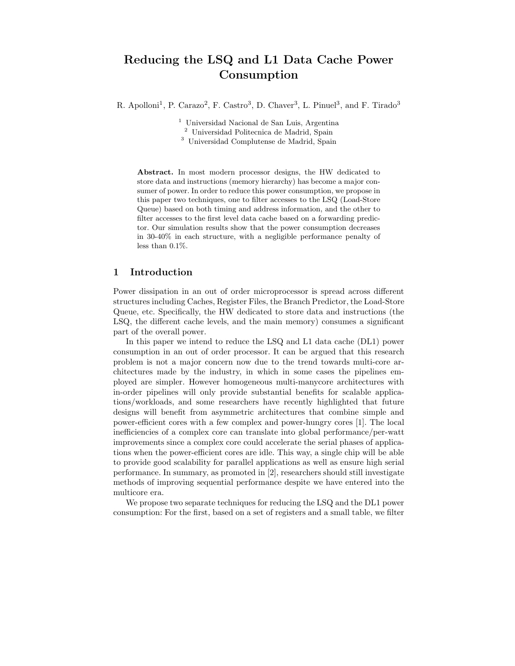# **Reducing the LSQ and L1 Data Cache Power Consumption**

R. Apolloni<sup>1</sup>, P. Carazo<sup>2</sup>, F. Castro<sup>3</sup>, D. Chaver<sup>3</sup>, L. Pinuel<sup>3</sup>, and F. Tirado<sup>3</sup>

<sup>1</sup> Universidad Nacional de San Luis, Argentina

<sup>2</sup> Universidad Politecnica de Madrid, Spain

<sup>3</sup> Universidad Complutense de Madrid, Spain

**Abstract.** In most modern processor designs, the HW dedicated to store data and instructions (memory hierarchy) has become a major consumer of power. In order to reduce this power consumption, we propose in this paper two techniques, one to filter accesses to the LSQ (Load-Store Queue) based on both timing and address information, and the other to filter accesses to the first level data cache based on a forwarding predictor. Our simulation results show that the power consumption decreases in 30-40% in each structure, with a negligible performance penalty of less than 0.1%.

### **1 Introduction**

Power dissipation in an out of order microprocessor is spread across different structures including Caches, Register Files, the Branch Predictor, the Load-Store Queue, etc. Specifically, the HW dedicated to store data and instructions (the LSQ, the different cache levels, and the main memory) consumes a significant part of the overall power.

In this paper we intend to reduce the LSQ and L1 data cache (DL1) power consumption in an out of order processor. It can be argued that this research problem is not a major concern now due to the trend towards multi-core architectures made by the industry, in which in some cases the pipelines employed are simpler. However homogeneous multi-manycore architectures with in-order pipelines will only provide substantial benefits for scalable applications/workloads, and some researchers have recently highlighted that future designs will benefit from asymmetric architectures that combine simple and power-efficient cores with a few complex and power-hungry cores [1]. The local inefficiencies of a complex core can translate into global performance/per-watt improvements since a complex core could accelerate the serial phases of applications when the power-efficient cores are idle. This way, a single chip will be able to provide good scalability for parallel applications as well as ensure high serial performance. In summary, as promoted in [2], researchers should still investigate methods of improving sequential performance despite we have entered into the multicore era.

We propose two separate techniques for reducing the LSQ and the DL1 power consumption: For the first, based on a set of registers and a small table, we filter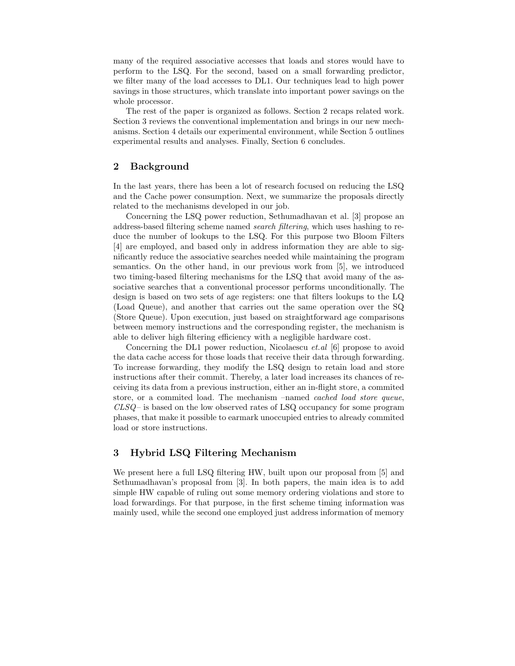many of the required associative accesses that loads and stores would have to perform to the LSQ. For the second, based on a small forwarding predictor, we filter many of the load accesses to DL1. Our techniques lead to high power savings in those structures, which translate into important power savings on the whole processor.

The rest of the paper is organized as follows. Section 2 recaps related work. Section 3 reviews the conventional implementation and brings in our new mechanisms. Section 4 details our experimental environment, while Section 5 outlines experimental results and analyses. Finally, Section 6 concludes.

### **2 Background**

In the last years, there has been a lot of research focused on reducing the LSQ and the Cache power consumption. Next, we summarize the proposals directly related to the mechanisms developed in our job.

Concerning the LSQ power reduction, Sethumadhavan et al. [3] propose an address-based filtering scheme named *search filtering*, which uses hashing to reduce the number of lookups to the LSQ. For this purpose two Bloom Filters [4] are employed, and based only in address information they are able to significantly reduce the associative searches needed while maintaining the program semantics. On the other hand, in our previous work from [5], we introduced two timing-based filtering mechanisms for the LSQ that avoid many of the associative searches that a conventional processor performs unconditionally. The design is based on two sets of age registers: one that filters lookups to the LQ (Load Queue), and another that carries out the same operation over the SQ (Store Queue). Upon execution, just based on straightforward age comparisons between memory instructions and the corresponding register, the mechanism is able to deliver high filtering efficiency with a negligible hardware cost.

Concerning the DL1 power reduction, Nicolaescu *et.al* [6] propose to avoid the data cache access for those loads that receive their data through forwarding. To increase forwarding, they modify the LSQ design to retain load and store instructions after their commit. Thereby, a later load increases its chances of receiving its data from a previous instruction, either an in-flight store, a commited store, or a commited load. The mechanism –named *cached load store queue*, *CLSQ*– is based on the low observed rates of LSQ occupancy for some program phases, that make it possible to earmark unoccupied entries to already commited load or store instructions.

# **3 Hybrid LSQ Filtering Mechanism**

We present here a full LSQ filtering HW, built upon our proposal from [5] and Sethumadhavan's proposal from [3]. In both papers, the main idea is to add simple HW capable of ruling out some memory ordering violations and store to load forwardings. For that purpose, in the first scheme timing information was mainly used, while the second one employed just address information of memory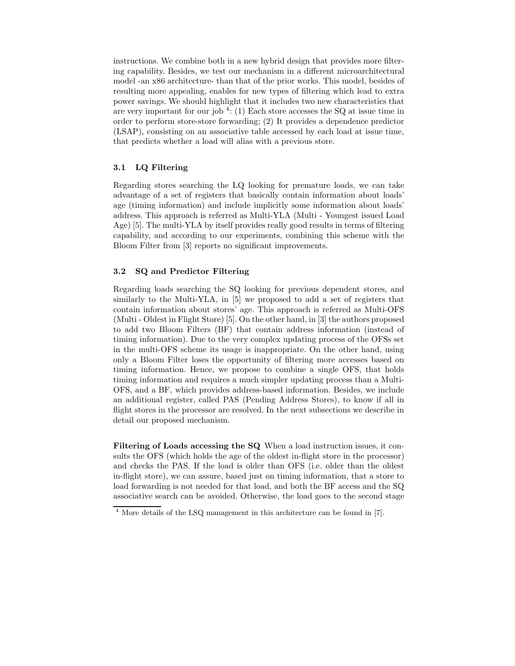instructions. We combine both in a new hybrid design that provides more filtering capability. Besides, we test our mechanism in a different microarchitectural model -an x86 architecture- than that of the prior works. This model, besides of resulting more appealing, enables for new types of filtering which lead to extra power savings. We should highlight that it includes two new characteristics that are very important for our job  $4: (1)$  Each store accesses the SQ at issue time in order to perform store-store forwarding; (2) It provides a dependence predictor (LSAP), consisting on an associative table accessed by each load at issue time, that predicts whether a load will alias with a previous store.

### **3.1 LQ Filtering**

Regarding stores searching the LQ looking for premature loads, we can take advantage of a set of registers that basically contain information about loads' age (timing information) and include implicitly some information about loads' address. This approach is referred as Multi-YLA (Multi - Youngest issued Load Age) [5]. The multi-YLA by itself provides really good results in terms of filtering capability, and according to our experiments, combining this scheme with the Bloom Filter from [3] reports no significant improvements.

#### **3.2 SQ and Predictor Filtering**

Regarding loads searching the SQ looking for previous dependent stores, and similarly to the Multi-YLA, in [5] we proposed to add a set of registers that contain information about stores' age. This approach is referred as Multi-OFS (Multi - Oldest in Flight Store) [5]. On the other hand, in [3] the authors proposed to add two Bloom Filters (BF) that contain address information (instead of timing information). Due to the very complex updating process of the OFSs set in the multi-OFS scheme its usage is inappropriate. On the other hand, using only a Bloom Filter loses the opportunity of filtering more accesses based on timing information. Hence, we propose to combine a single OFS, that holds timing information and requires a much simpler updating process than a Multi-OFS, and a BF, which provides address-based information. Besides, we include an additional register, called PAS (Pending Address Stores), to know if all in flight stores in the processor are resolved. In the next subsections we describe in detail our proposed mechanism.

**Filtering of Loads accessing the SQ** When a load instruction issues, it consults the OFS (which holds the age of the oldest in-flight store in the processor) and checks the PAS. If the load is older than OFS (i.e. older than the oldest in-flight store), we can assure, based just on timing information, that a store to load forwarding is not needed for that load, and both the BF access and the SQ associative search can be avoided. Otherwise, the load goes to the second stage

<sup>4</sup> More details of the LSQ management in this architecture can be found in [7].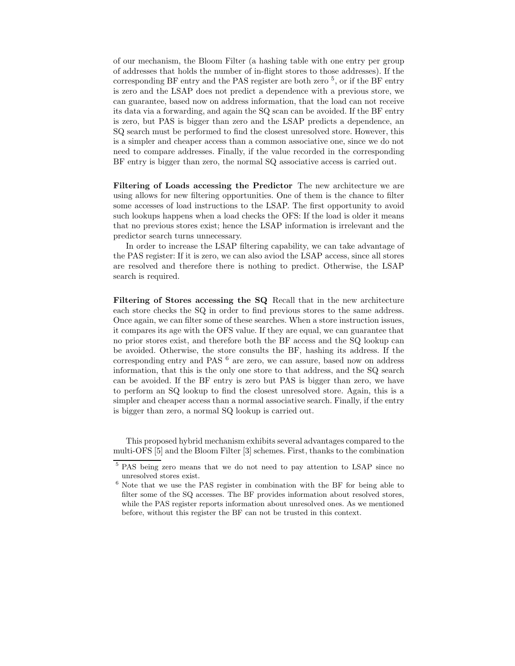of our mechanism, the Bloom Filter (a hashing table with one entry per group of addresses that holds the number of in-flight stores to those addresses). If the corresponding BF entry and the PAS register are both zero  $5$ , or if the BF entry is zero and the LSAP does not predict a dependence with a previous store, we can guarantee, based now on address information, that the load can not receive its data via a forwarding, and again the SQ scan can be avoided. If the BF entry is zero, but PAS is bigger than zero and the LSAP predicts a dependence, an SQ search must be performed to find the closest unresolved store. However, this is a simpler and cheaper access than a common associative one, since we do not need to compare addresses. Finally, if the value recorded in the corresponding BF entry is bigger than zero, the normal SQ associative access is carried out.

**Filtering of Loads accessing the Predictor** The new architecture we are using allows for new filtering opportunities. One of them is the chance to filter some accesses of load instructions to the LSAP. The first opportunity to avoid such lookups happens when a load checks the OFS: If the load is older it means that no previous stores exist; hence the LSAP information is irrelevant and the predictor search turns unnecessary.

In order to increase the LSAP filtering capability, we can take advantage of the PAS register: If it is zero, we can also aviod the LSAP access, since all stores are resolved and therefore there is nothing to predict. Otherwise, the LSAP search is required.

**Filtering of Stores accessing the SQ** Recall that in the new architecture each store checks the SQ in order to find previous stores to the same address. Once again, we can filter some of these searches. When a store instruction issues, it compares its age with the OFS value. If they are equal, we can guarantee that no prior stores exist, and therefore both the BF access and the SQ lookup can be avoided. Otherwise, the store consults the BF, hashing its address. If the corresponding entry and PAS<sup>6</sup> are zero, we can assure, based now on address information, that this is the only one store to that address, and the SQ search can be avoided. If the BF entry is zero but PAS is bigger than zero, we have to perform an SQ lookup to find the closest unresolved store. Again, this is a simpler and cheaper access than a normal associative search. Finally, if the entry is bigger than zero, a normal SQ lookup is carried out.

This proposed hybrid mechanism exhibits several advantages compared to the multi-OFS [5] and the Bloom Filter [3] schemes. First, thanks to the combination

<sup>5</sup> PAS being zero means that we do not need to pay attention to LSAP since no unresolved stores exist.

 $6$  Note that we use the PAS register in combination with the BF for being able to filter some of the SQ accesses. The BF provides information about resolved stores, while the PAS register reports information about unresolved ones. As we mentioned before, without this register the BF can not be trusted in this context.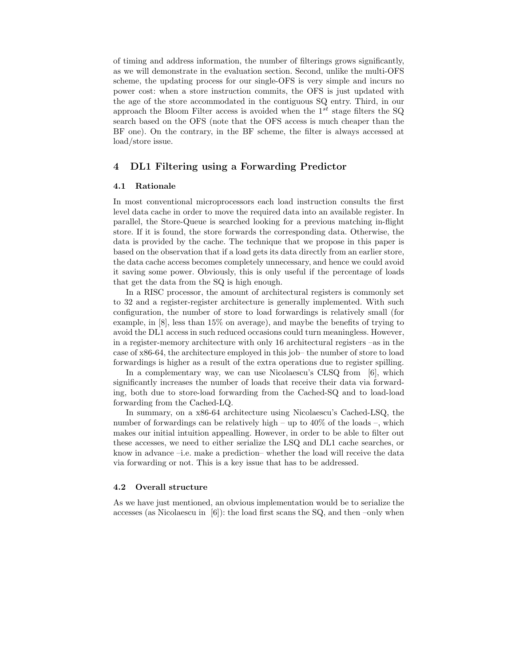of timing and address information, the number of filterings grows significantly, as we will demonstrate in the evaluation section. Second, unlike the multi-OFS scheme, the updating process for our single-OFS is very simple and incurs no power cost: when a store instruction commits, the OFS is just updated with the age of the store accommodated in the contiguous SQ entry. Third, in our approach the Bloom Filter access is avoided when the 1*st* stage filters the SQ search based on the OFS (note that the OFS access is much cheaper than the BF one). On the contrary, in the BF scheme, the filter is always accessed at load/store issue.

### **4 DL1 Filtering using a Forwarding Predictor**

#### **4.1 Rationale**

In most conventional microprocessors each load instruction consults the first level data cache in order to move the required data into an available register. In parallel, the Store-Queue is searched looking for a previous matching in-flight store. If it is found, the store forwards the corresponding data. Otherwise, the data is provided by the cache. The technique that we propose in this paper is based on the observation that if a load gets its data directly from an earlier store, the data cache access becomes completely unnecessary, and hence we could avoid it saving some power. Obviously, this is only useful if the percentage of loads that get the data from the SQ is high enough.

In a RISC processor, the amount of architectural registers is commonly set to 32 and a register-register architecture is generally implemented. With such configuration, the number of store to load forwardings is relatively small (for example, in [8], less than 15% on average), and maybe the benefits of trying to avoid the DL1 access in such reduced occasions could turn meaningless. However, in a register-memory architecture with only 16 architectural registers –as in the case of x86-64, the architecture employed in this job– the number of store to load forwardings is higher as a result of the extra operations due to register spilling.

In a complementary way, we can use Nicolaescu's CLSQ from [6], which significantly increases the number of loads that receive their data via forwarding, both due to store-load forwarding from the Cached-SQ and to load-load forwarding from the Cached-LQ.

In summary, on a x86-64 architecture using Nicolaescu's Cached-LSQ, the number of forwardings can be relatively high – up to  $40\%$  of the loads –, which makes our initial intuition appealling. However, in order to be able to filter out these accesses, we need to either serialize the LSQ and DL1 cache searches, or know in advance –i.e. make a prediction– whether the load will receive the data via forwarding or not. This is a key issue that has to be addressed.

#### **4.2 Overall structure**

As we have just mentioned, an obvious implementation would be to serialize the accesses (as Nicolaescu in [6]): the load first scans the SQ, and then –only when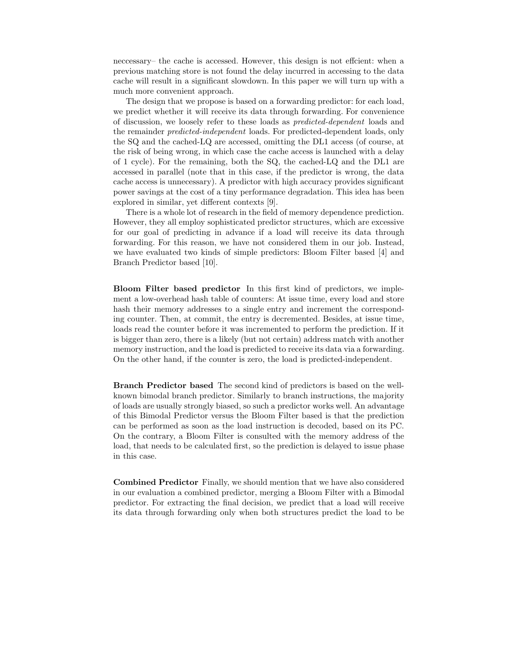neccessary– the cache is accessed. However, this design is not effcient: when a previous matching store is not found the delay incurred in accessing to the data cache will result in a significant slowdown. In this paper we will turn up with a much more convenient approach.

The design that we propose is based on a forwarding predictor: for each load, we predict whether it will receive its data through forwarding. For convenience of discussion, we loosely refer to these loads as *predicted-dependent* loads and the remainder *predicted-independent* loads. For predicted-dependent loads, only the SQ and the cached-LQ are accessed, omitting the DL1 access (of course, at the risk of being wrong, in which case the cache access is launched with a delay of 1 cycle). For the remaining, both the SQ, the cached-LQ and the DL1 are accessed in parallel (note that in this case, if the predictor is wrong, the data cache access is unnecessary). A predictor with high accuracy provides significant power savings at the cost of a tiny performance degradation. This idea has been explored in similar, yet different contexts [9].

There is a whole lot of research in the field of memory dependence prediction. However, they all employ sophisticated predictor structures, which are excessive for our goal of predicting in advance if a load will receive its data through forwarding. For this reason, we have not considered them in our job. Instead, we have evaluated two kinds of simple predictors: Bloom Filter based [4] and Branch Predictor based [10].

**Bloom Filter based predictor** In this first kind of predictors, we implement a low-overhead hash table of counters: At issue time, every load and store hash their memory addresses to a single entry and increment the corresponding counter. Then, at commit, the entry is decremented. Besides, at issue time, loads read the counter before it was incremented to perform the prediction. If it is bigger than zero, there is a likely (but not certain) address match with another memory instruction, and the load is predicted to receive its data via a forwarding. On the other hand, if the counter is zero, the load is predicted-independent.

**Branch Predictor based** The second kind of predictors is based on the wellknown bimodal branch predictor. Similarly to branch instructions, the majority of loads are usually strongly biased, so such a predictor works well. An advantage of this Bimodal Predictor versus the Bloom Filter based is that the prediction can be performed as soon as the load instruction is decoded, based on its PC. On the contrary, a Bloom Filter is consulted with the memory address of the load, that needs to be calculated first, so the prediction is delayed to issue phase in this case.

**Combined Predictor** Finally, we should mention that we have also considered in our evaluation a combined predictor, merging a Bloom Filter with a Bimodal predictor. For extracting the final decision, we predict that a load will receive its data through forwarding only when both structures predict the load to be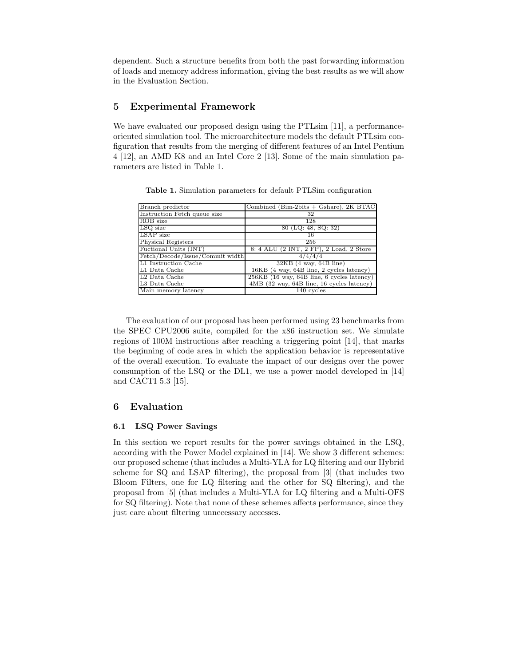dependent. Such a structure benefits from both the past forwarding information of loads and memory address information, giving the best results as we will show in the Evaluation Section.

# **5 Experimental Framework**

We have evaluated our proposed design using the PTLsim [11], a performanceoriented simulation tool. The microarchitecture models the default PTLsim configuration that results from the merging of different features of an Intel Pentium 4 [12], an AMD K8 and an Intel Core 2 [13]. Some of the main simulation parameters are listed in Table 1.

| Branch predictor                | Combined (Bim-2bits $+$ Gshare), 2K BTAC     |
|---------------------------------|----------------------------------------------|
| Instruction Fetch queue size    | 32                                           |
| ROB size                        | 128                                          |
| LSQ size                        | $80$ (LQ: 48, SQ: 32)                        |
| LSAP size                       | 16                                           |
| <b>Physical Registers</b>       | 256                                          |
| Fuctional Units (INT)           | 8: 4 ALU (2 INT, 2 FP), 2 Load, 2 Store      |
| Fetch/Decode/Issue/Commit width | 4/4/4/4                                      |
| L1 Instruction Cache            | $32KB$ (4 way, 64B line)                     |
| L1 Data Cache                   | 16KB (4 way, 64B line, 2 cycles latency)     |
| L2 Data Cache                   | $256KB$ (16 way, 64B line, 6 cycles latency) |
| L3 Data Cache                   | 4MB (32 way, 64B line, 16 cycles latency)    |
| Main memory latency             | 140 cycles                                   |

**Table 1.** Simulation parameters for default PTLSim configuration

The evaluation of our proposal has been performed using 23 benchmarks from the SPEC CPU2006 suite, compiled for the x86 instruction set. We simulate regions of 100M instructions after reaching a triggering point [14], that marks the beginning of code area in which the application behavior is representative of the overall execution. To evaluate the impact of our designs over the power consumption of the LSQ or the DL1, we use a power model developed in [14] and CACTI 5.3 [15].

# **6 Evaluation**

#### **6.1 LSQ Power Savings**

In this section we report results for the power savings obtained in the LSQ, according with the Power Model explained in [14]. We show 3 different schemes: our proposed scheme (that includes a Multi-YLA for LQ filtering and our Hybrid scheme for SQ and LSAP filtering), the proposal from [3] (that includes two Bloom Filters, one for LQ filtering and the other for SQ filtering), and the proposal from [5] (that includes a Multi-YLA for LQ filtering and a Multi-OFS for SQ filtering). Note that none of these schemes affects performance, since they just care about filtering unnecessary accesses.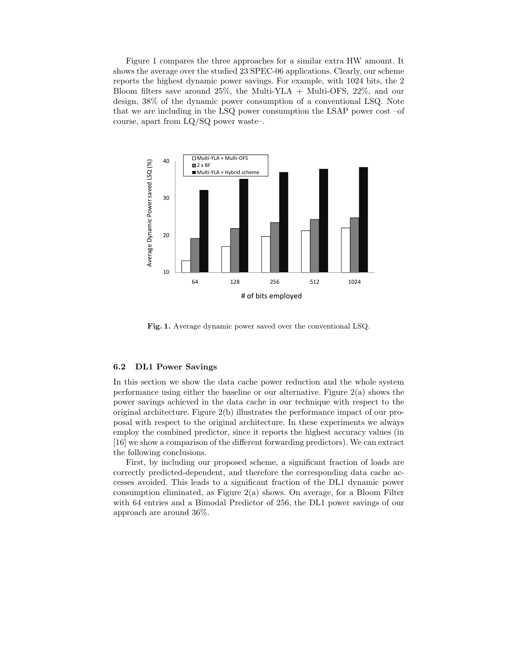Figure 1 compares the three approaches for a similar extra HW amount. It shows the average over the studied 23 SPEC-06 applications. Clearly, our scheme reports the highest dynamic power savings. For example, with 1024 bits, the 2 Bloom filters save around  $25\%$ , the Multi-YLA + Multi-OFS,  $22\%$ , and our design, 38% of the dynamic power consumption of a conventional LSQ. Note that we are including in the LSQ power consumption the LSAP power cost –of course, apart from LQ/SQ power waste–.



**Fig. 1.** Average dynamic power saved over the conventional LSQ.

#### **6.2 DL1 Power Savings**

In this section we show the data cache power reduction and the whole system performance using either the baseline or our alternative. Figure 2(a) shows the power savings achieved in the data cache in our technique with respect to the original architecture. Figure 2(b) illustrates the performance impact of our proposal with respect to the original architecture. In these experiments we always employ the combined predictor, since it reports the highest accuracy values (in [16] we show a comparison of the different forwarding predictors). We can extract the following conclusions.

First, by including our proposed scheme, a significant fraction of loads are correctly predicted-dependent, and therefore the corresponding data cache accesses avoided. This leads to a significant fraction of the DL1 dynamic power consumption eliminated, as Figure  $2(a)$  shows. On average, for a Bloom Filter with 64 entries and a Bimodal Predictor of 256, the DL1 power savings of our approach are around 36%.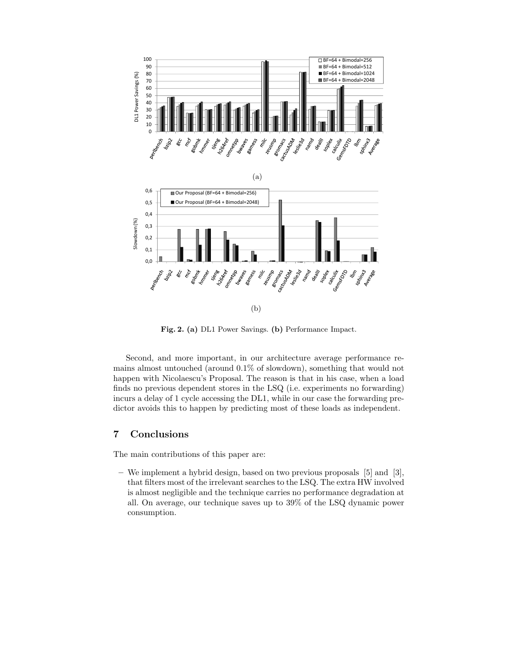

 $0,2$  $0,1$ 0,0 ERE EN ERE EN ERE EN ERE EN ERE perilberrid 800 mH mor 8cc

(b)

**Fig. 2. (a)** DL1 Power Savings. **(b)** Performance Impact.

Second, and more important, in our architecture average performance remains almost untouched (around 0.1% of slowdown), something that would not happen with Nicolaescu's Proposal. The reason is that in his case, when a load finds no previous dependent stores in the LSQ (i.e. experiments no forwarding) incurs a delay of 1 cycle accessing the DL1, while in our case the forwarding predictor avoids this to happen by predicting most of these loads as independent.

# **7 Conclusions**

The main contributions of this paper are:

**–** We implement a hybrid design, based on two previous proposals [5] and [3], that filters most of the irrelevant searches to the LSQ. The extra HW involved is almost negligible and the technique carries no performance degradation at all. On average, our technique saves up to 39% of the LSQ dynamic power consumption.